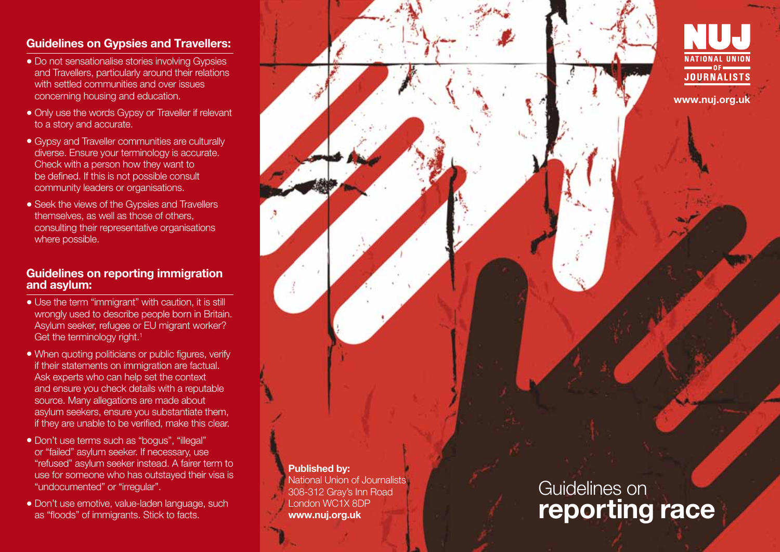# Guidelines on Gypsies and Travellers:

- Do not sensationalise stories involving Gypsies and Travellers, particularly around their relations with settled communities and over issues concerning housing and education.
- Only use the words Gypsy or Traveller if relevant to a story and accurate.
- Gypsy and Traveller communities are culturally diverse. Ensure your terminology is accurate. Check with a person how they want to be defined. If this is not possible consult community leaders or organisations.
- Seek the views of the Gypsies and Travellers themselves, as well as those of others, consulting their representative organisations where possible.

### Guidelines on reporting immigration and asylum:

- Use the term "immigrant" with caution, it is still wrongly used to describe people born in Britain. Asylum seeker, refugee or EU migrant worker? Get the terminology right.<sup>1</sup>
- When quoting politicians or public figures, verify if their statements on immigration are factual. Ask experts who can help set the context and ensure you check details with a reputable source. Many allegations are made about asylum seekers, ensure you substantiate them, if they are unable to be verified, make this clear.
- Don't use terms such as "bogus", "illegal" or "failed" asylum seeker. If necessary, use "refused" asylum seeker instead. A fairer term to use for someone who has outstayed their visa is "undocumented" or "irregular".
- Don't use emotive, value-laden language, such as "floods" of immigrants. Stick to facts.